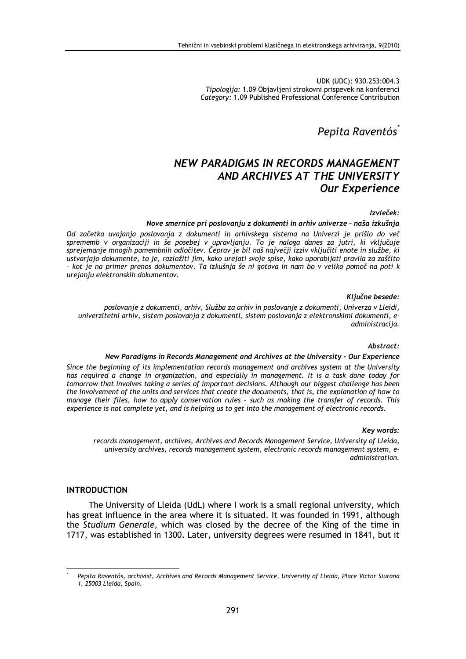UDK (UDC): 930.253:004.3 Tipologija: 1.09 Objavljeni strokovni prispevek na konferenci Category: 1.09 Published Professional Conference Contribution

# Pepita Raventós

# **NEW PARADIGMS IN RECORDS MANAGEMENT** AND ARCHIVES AT THE UNIVERSITY **Our Experience**

#### Izvleček:

#### Nove smernice pri poslovanju z dokumenti in arhiv univerze - naša izkušnja

Od začetka uvajanja poslovanja z dokumenti in arhivskega sistema na Univerzi je prišlo do več sprememb v organizaciji in še posebej v upravljanju. To je naloga danes za jutri, ki vključuje sprejemanje mnogih pomembnih odločitev. Čeprav je bil naš največji izziv vključiti enote in službe, ki ustvarjajo dokumente, to je, razložiti jim, kako urejati svoje spise, kako uporabljati pravila za zaščito - kot je na primer prenos dokumentov. Ta izkušnja še ni gotova in nam bo v veliko pomoč na poti k urejanju elektronskih dokumentov.

#### Ključne besede:

poslovanie z dokumenti, arhiv, Služba za arhiv in poslovanie z dokumenti, Univerza v Lleidi, univerzitetni arhiv, sistem poslovanja z dokumenti, sistem poslovanja z elektronskimi dokumenti, eadministracija.

#### Abstract:

#### New Paradigms in Records Management and Archives at the University - Our Experience

Since the beginning of its implementation records management and archives system at the University has required a change in organization, and especially in management. It is a task done today for tomorrow that involves taking a series of important decisions. Although our biggest challenge has been the involvement of the units and services that create the documents, that is, the explanation of how to manage their files, how to apply conservation rules - such as making the transfer of records. This experience is not complete yet, and is helping us to get into the management of electronic records.

#### Key words:

records management, archives, Archives and Records Management Service, University of Lleida, university archives, records management system, electronic records management system, eadministration.

#### **INTRODUCTION**

The University of Lleida (UdL) where I work is a small regional university, which has great influence in the area where it is situated. It was founded in 1991, although the Studium Generale, which was closed by the decree of the King of the time in 1717, was established in 1300. Later, university degrees were resumed in 1841, but it

Pepita Raventós, archivist, Archives and Records Management Service, University of Lleida, Place Victor Siurana 1, 25003 Lleida, Spain.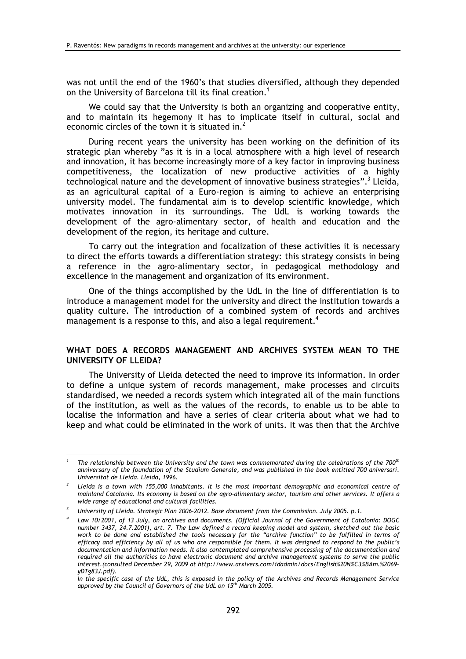was not until the end of the 1960's that studies diversified, although they depended on the University of Barcelona till its final creation.<sup>1</sup>

We could say that the University is both an organizing and cooperative entity, and to maintain its hegemony it has to implicate itself in cultural, social and economic circles of the town it is situated in.<sup>2</sup>

During recent years the university has been working on the definition of its strategic plan whereby "as it is in a local atmosphere with a high level of research and innovation, it has become increasingly more of a key factor in improving business competitiveness, the localization of new productive activities of a highly technological nature and the development of innovative business strategies".<sup>3</sup> Lleida, as an agricultural capital of a Euro-region is aiming to achieve an enterprising university model. The fundamental aim is to develop scientific knowledge, which motivates innovation in its surroundings. The UdL is working towards the development of the agro-alimentary sector, of health and education and the development of the region, its heritage and culture.

To carry out the integration and focalization of these activities it is necessary to direct the efforts towards a differentiation strategy: this strategy consists in being a reference in the agro-alimentary sector, in pedagogical methodology and excellence in the management and organization of its environment.

One of the things accomplished by the UdL in the line of differentiation is to introduce a management model for the university and direct the institution towards a quality culture. The introduction of a combined system of records and archives management is a response to this, and also a legal requirement.<sup>4</sup>

### WHAT DOES A RECORDS MANAGEMENT AND ARCHIVES SYSTEM MEAN TO THE **UNIVERSITY OF LLEIDA?**

The University of Lleida detected the need to improve its information. In order to define a unique system of records management, make processes and circuits standardised, we needed a records system which integrated all of the main functions of the institution, as well as the values of the records, to enable us to be able to localise the information and have a series of clear criteria about what we had to keep and what could be eliminated in the work of units. It was then that the Archive

The relationship between the University and the town was commemorated during the celebrations of the 700<sup>th</sup> anniversary of the foundation of the Studium Generale, and was published in the book entitled 700 aniversari. Universitat de Lleida. Lleida, 1996.

<sup>&</sup>lt;sup>2</sup> Lleida is a town with 155,000 inhabitants. It is the most important demographic and economical centre of mainland Catalonia. Its economy is based on the agro-alimentary sector, tourism and other services. It offers a wide range of educational and cultural facilities.

University of Lleida, Strategic Plan 2006-2012, Base document from the Commission, July 2005, p.1.

Law 10/2001, of 13 July, on archives and documents. (Official Journal of the Government of Catalonia: DOGC number 3437, 24.7.2001), art. 7. The Law defined a record keeping model and system, sketched out the basic<br>work to be done and established the tools necessary for the "archive function" to be fulfilled in terms of efficacy and efficiency by all of us who are responsible for them. It was designed to respond to the public's documentation and information needs. It also contemplated comprehensive processing of the documentation and required all the authorities to have electronic document and archive management systems to serve the public interest. (consulted December 29, 2009 at http://www.arxivers.com/idadmin/docs/English%20N%C3%BAm.%2069yDTg83J.pdf).

In the specific case of the UdL, this is exposed in the policy of the Archives and Records Management Service approved by the Council of Governors of the UdL on 15<sup>th</sup> March 2005.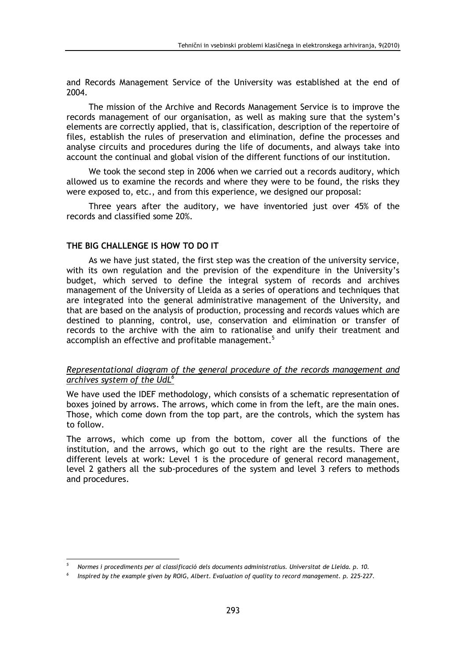and Records Management Service of the University was established at the end of 2004.

The mission of the Archive and Records Management Service is to improve the records management of our organisation, as well as making sure that the system's elements are correctly applied, that is, classification, description of the repertoire of files, establish the rules of preservation and elimination, define the processes and analyse circuits and procedures during the life of documents, and always take into account the continual and global vision of the different functions of our institution.

We took the second step in 2006 when we carried out a records auditory, which allowed us to examine the records and where they were to be found, the risks they were exposed to, etc., and from this experience, we designed our proposal:

Three years after the auditory, we have inventoried just over 45% of the records and classified some 20%.

## THE BIG CHALLENGE IS HOW TO DO IT

As we have just stated, the first step was the creation of the university service, with its own regulation and the prevision of the expenditure in the University's budget, which served to define the integral system of records and archives management of the University of Lleida as a series of operations and techniques that are integrated into the general administrative management of the University, and that are based on the analysis of production, processing and records values which are destined to planning, control, use, conservation and elimination or transfer of records to the archive with the aim to rationalise and unify their treatment and accomplish an effective and profitable management.<sup>5</sup>

### Representational diagram of the general procedure of the records management and archives system of the UdL<sup>6</sup>

We have used the IDEF methodology, which consists of a schematic representation of boxes joined by arrows. The arrows, which come in from the left, are the main ones. Those, which come down from the top part, are the controls, which the system has to follow.

The arrows, which come up from the bottom, cover all the functions of the institution, and the arrows, which go out to the right are the results. There are different levels at work: Level 1 is the procedure of general record management, level 2 gathers all the sub-procedures of the system and level 3 refers to methods and procedures.

Normes i procediments per al classificació dels documents administratius. Universitat de Lleida. p. 10.

Inspired by the example given by ROIG, Albert. Evaluation of quality to record management. p. 225-227.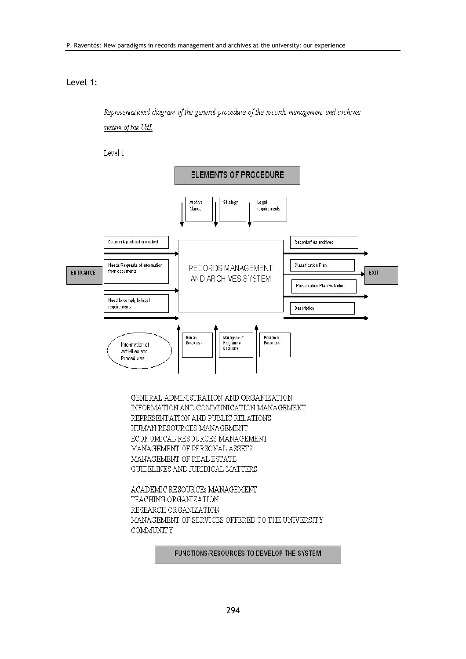## Level 1:

Representational diagram of the general procedure of the records management and archives system of the UdL

Level 1:



GENERAL ADMINISTRATION AND ORGANIZATION INFORMATION AND COMMUNICATION MANAGEMENT REPRESENTATION AND PUBLIC RELATIONS HUMAN RESOURCES MANAGEMENT ECONOMICAL RESOURCES MANAGEMENT MANAGEMENT OF PERSONAL ASSETS MANAGEMENT OF REAL ESTATE GUIDELINES AND JURIDICAL MATTERS

ACADEMIC RESOURCES MANAGEMENT TEACHING ORGANIZATION RESEARCH ORGANIZATION MANAGEMENT OF SERVICES OFFERED TO THE UNIVERSITY **COMMUNITY** 

#### FUNCTIONS/RESOURCES TO DEVELOP THE SYSTEM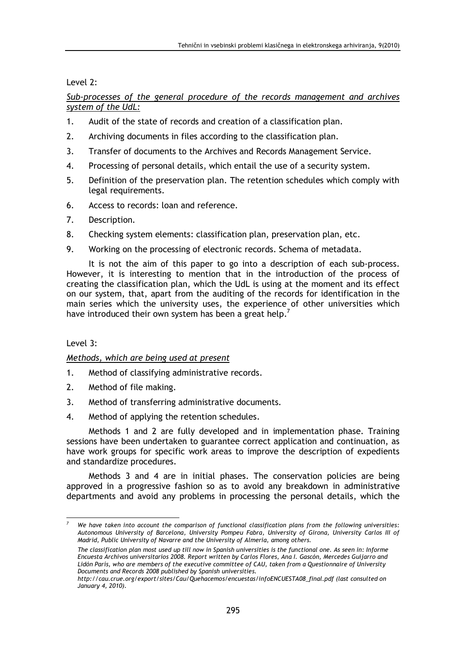Level 2:

# Sub-processes of the general procedure of the records management and archives system of the UdL:

- $1<sub>1</sub>$ Audit of the state of records and creation of a classification plan.
- $\overline{2}$ . Archiving documents in files according to the classification plan.
- $\overline{3}$ . Transfer of documents to the Archives and Records Management Service.
- 4. Processing of personal details, which entail the use of a security system.
- Definition of the preservation plan. The retention schedules which comply with 5. legal requirements.
- 6. Access to records: loan and reference.
- $\overline{7}$ . Description.
- 8. Checking system elements: classification plan, preservation plan, etc.
- Working on the processing of electronic records. Schema of metadata.  $9<sub>1</sub>$

It is not the aim of this paper to go into a description of each sub-process. However, it is interesting to mention that in the introduction of the process of creating the classification plan, which the UdL is using at the moment and its effect on our system, that, apart from the auditing of the records for identification in the main series which the university uses, the experience of other universities which have introduced their own system has been a great help.<sup>7</sup>

## $level$  3.

## Methods, which are being used at present

- $1<sub>1</sub>$ Method of classifying administrative records.
- $\overline{2}$ Method of file making.
- $\mathbf{R}$ Method of transferring administrative documents.
- $\overline{4}$ Method of applying the retention schedules.

Methods 1 and 2 are fully developed and in implementation phase. Training sessions have been undertaken to guarantee correct application and continuation, as have work groups for specific work areas to improve the description of expedients and standardize procedures.

Methods 3 and 4 are in initial phases. The conservation policies are being approved in a progressive fashion so as to avoid any breakdown in administrative departments and avoid any problems in processing the personal details, which the

We have taken into account the comparison of functional classification plans from the following universities: Autonomous University of Barcelona, University Pompeu Fabra, University of Girona, University Carlos III of Madrid, Public University of Navarre and the University of Almeria, among others.

The classification plan most used up till now in Spanish universities is the functional one. As seen in: Informe Encuesta Archivos universitarios 2008. Report written by Carlos Flores, Ana I. Gascón, Mercedes Guijarro and Lidón París, who are members of the executive committee of CAU, taken from a Questionnaire of University Documents and Records 2008 published by Spanish universities.

http://cau.crue.org/export/sites/Cau/Quehacemos/encuestas/infoENCUESTA08\_final.pdf (last consulted on January 4, 2010).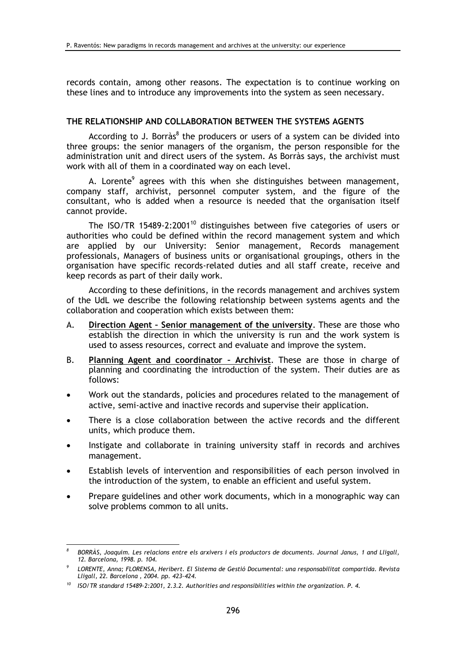records contain, among other reasons. The expectation is to continue working on these lines and to introduce any improvements into the system as seen necessary.

### THE RELATIONSHIP AND COLLABORATION BETWEEN THE SYSTEMS AGENTS

According to J. Borràs<sup>8</sup> the producers or users of a system can be divided into three groups: the senior managers of the organism, the person responsible for the administration unit and direct users of the system. As Borràs says, the archivist must work with all of them in a coordinated way on each level.

A. Lorente<sup>9</sup> agrees with this when she distinguishes between management, company staff, archivist, personnel computer system, and the figure of the consultant, who is added when a resource is needed that the organisation itself cannot provide.

The ISO/TR 15489-2:2001<sup>10</sup> distinguishes between five categories of users or authorities who could be defined within the record management system and which are applied by our University: Senior management, Records management professionals, Managers of business units or organisational groupings, others in the organisation have specific records-related duties and all staff create, receive and keep records as part of their daily work.

According to these definitions, in the records management and archives system of the UdL we describe the following relationship between systems agents and the collaboration and cooperation which exists between them:

- Direction Agent Senior management of the university. These are those who A. establish the direction in which the university is run and the work system is used to assess resources, correct and evaluate and improve the system.
- Planning Agent and coordinator Archivist. These are those in charge of **B.** planning and coordinating the introduction of the system. Their duties are as follows:
- Work out the standards, policies and procedures related to the management of active, semi-active and inactive records and supervise their application.
- There is a close collaboration between the active records and the different units, which produce them.
- Instigate and collaborate in training university staff in records and archives management.
- Establish levels of intervention and responsibilities of each person involved in the introduction of the system, to enable an efficient and useful system.
- Prepare guidelines and other work documents, which in a monographic way can solve problems common to all units.

BORRÀS, Joaquim. Les relacions entre els arxivers i els productors de documents. Journal Janus, 1 and Lligall, 12. Barcelona, 1998. p. 104.

LORENTE, Anna; FLORENSA, Heribert. El Sistema de Gestió Documental: una responsabilitat compartida. Revista Lligall, 22. Barcelona, 2004. pp. 423-424.

 $10$  ISO/TR standard 15489-2:2001, 2.3.2. Authorities and responsibilities within the organization. P. 4.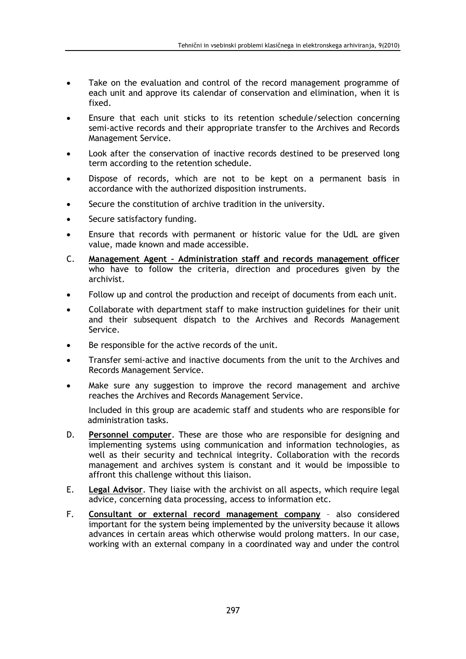- Take on the evaluation and control of the record management programme of each unit and approve its calendar of conservation and elimination, when it is fixed.
- Ensure that each unit sticks to its retention schedule/selection concerning semi-active records and their appropriate transfer to the Archives and Records Management Service.
- Look after the conservation of inactive records destined to be preserved long term according to the retention schedule.
- Dispose of records, which are not to be kept on a permanent basis in accordance with the authorized disposition instruments.
- Secure the constitution of archive tradition in the university.
- Secure satisfactory funding.
- Ensure that records with permanent or historic value for the UdL are given value, made known and made accessible.
- Management Agent Administration staff and records management officer  $\mathsf{C}$ . who have to follow the criteria, direction and procedures given by the archivist.
- Follow up and control the production and receipt of documents from each unit.
- Collaborate with department staff to make instruction guidelines for their unit and their subsequent dispatch to the Archives and Records Management Service.
- Be responsible for the active records of the unit.
- Transfer semi-active and inactive documents from the unit to the Archives and Records Management Service.
- Make sure any suggestion to improve the record management and archive  $\bullet$ reaches the Archives and Records Management Service.

Included in this group are academic staff and students who are responsible for administration tasks.

- D. Personnel computer. These are those who are responsible for designing and implementing systems using communication and information technologies, as well as their security and technical integrity. Collaboration with the records management and archives system is constant and it would be impossible to affront this challenge without this liaison.
- Legal Advisor. They liaise with the archivist on all aspects, which require legal E. advice, concerning data processing, access to information etc.
- F. Consultant or external record management company - also considered important for the system being implemented by the university because it allows advances in certain areas which otherwise would prolong matters. In our case, working with an external company in a coordinated way and under the control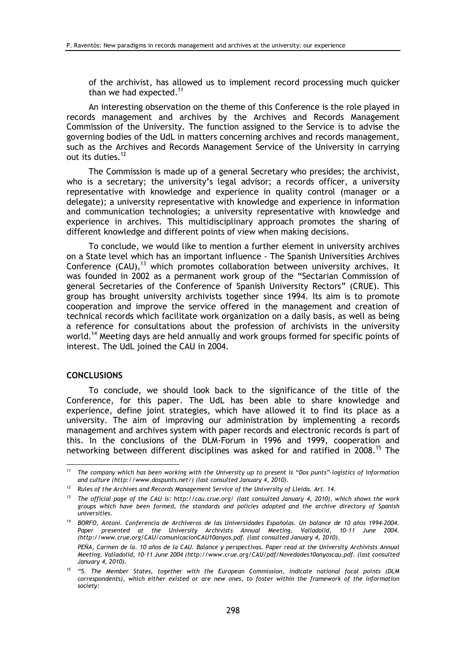of the archivist, has allowed us to implement record processing much quicker than we had expected.<sup>11</sup>

An interesting observation on the theme of this Conference is the role played in records management and archives by the Archives and Records Management Commission of the University. The function assigned to the Service is to advise the governing bodies of the UdL in matters concerning archives and records management, such as the Archives and Records Management Service of the University in carrying out its duties.<sup>12</sup>

The Commission is made up of a general Secretary who presides; the archivist, who is a secretary; the university's legal advisor; a records officer, a university representative with knowledge and experience in quality control (manager or a delegate); a university representative with knowledge and experience in information and communication technologies; a university representative with knowledge and experience in archives. This multidisciplinary approach promotes the sharing of different knowledge and different points of view when making decisions.

To conclude, we would like to mention a further element in university archives on a State level which has an important influence - The Spanish Universities Archives Conference (CAU),<sup>13</sup> which promotes collaboration between university archives. It was founded in 2002 as a permanent work group of the "Sectarian Commission of general Secretaries of the Conference of Spanish University Rectors" (CRUE). This group has brought university archivists together since 1994. Its aim is to promote cooperation and improve the service offered in the management and creation of technical records which facilitate work organization on a daily basis, as well as being a reference for consultations about the profession of archivists in the university world.<sup>14</sup> Meeting days are held annually and work groups formed for specific points of interest. The UdL joined the CAU in 2004.

### **CONCLUSIONS**

To conclude, we should look back to the significance of the title of the Conference, for this paper. The UdL has been able to share knowledge and experience, define joint strategies, which have allowed it to find its place as a university. The aim of improving our administration by implementing a records management and archives system with paper records and electronic records is part of this. In the conclusions of the DLM-Forum in 1996 and 1999, cooperation and networking between different disciplines was asked for and ratified in 2008.<sup>15</sup> The

<sup>&</sup>lt;sup>11</sup> The company which has been working with the University up to present is "Dos punts"-logistics of information and culture (http://www.dospunts.net/) (last consulted January 4, 2010).

Rules of the Archives and Records Management Service of the University of Lleida. Art. 14.

 $13$  The official page of the CAU is: http://cau.crue.org/ (last consulted January 4, 2010), which shows the work groups which have been formed, the standards and policies adopted and the archive directory of Spanish universities.

<sup>14</sup> BORFO, Antoni. Conferencia de Archiveros de las Universidades Españolas. Un balance de 10 años 1994-2004. Paper presented at the University Archivists Annual Meeting. Valladolid, 10-11 June 2004. (http://www.crue.org/CAU/comunicacionCAU10anyos.pdf. (last consulted January 4, 2010).

PEÑA, Carmen de la, 10 años de la CAU, Balance y perspectivas, Paper read at the University Archivists Annual Meeting. Valladolid, 10-11 June 2004 (http://www.crue.org/CAU/pdf/Novedades10anyoscau.pdf. (last consulted January 4, 2010).

<sup>&</sup>lt;sup>15</sup> "5. The Member States, together with the European Commission, indicate national focal points (DLM correspondents), which either existed or are new ones, to foster within the framework of the information society: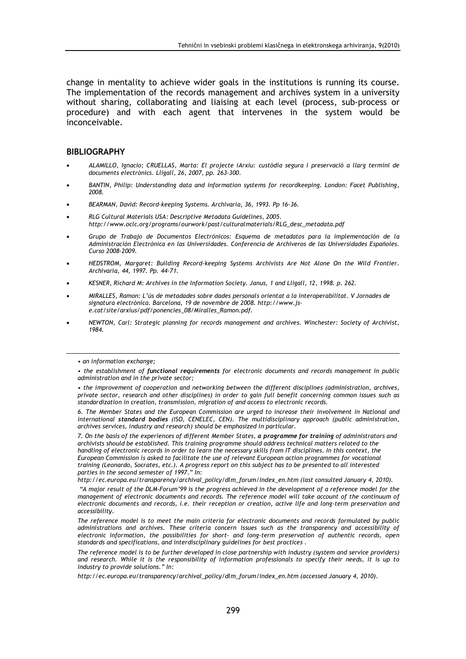change in mentality to achieve wider goals in the institutions is running its course. The implementation of the records management and archives system in a university without sharing, collaborating and liaising at each level (process, sub-process or procedure) and with each agent that intervenes in the system would be inconceivable.

### **BIBLIOGRAPHY**

- ALAMILLO, Ignacio; CRUELLAS, Marta: El projecte iArxiu: custòdia segura i preservació a llarg termini de documents electrònics. Lligall, 26, 2007, pp. 263-300.
- BANTIN, Philip: Understanding data and information systems for recordkeeping. London: Facet Publishing, 2008.
- BEARMAN, David: Record-keeping Systems, Archivaria, 36, 1993, Pp 16-36.
- RLG Cultural Materials USA: Descriptive Metadata Guidelines, 2005. http://www.oclc.org/programs/ourwork/past/culturalmaterials/RLG\_desc\_metadata.pdf
- Grupo de Trabajo de Documentos Electrónicos: Esquema de metadatos para la implementación de la Administración Electrónica en las Universidades. Conferencia de Archiveros de las Universidades Españoles. Curso 2008-2009.
- HEDSTROM, Margaret: Building Record-keeping Systems Archivists Are Not Alone On the Wild Frontier. Archivaria, 44, 1997, Pp. 44-71.
- KESNER, Richard M: Archives in the Information Society. Janus, 1 and Lligall, 12, 1998. p. 262.
- MIRALLES, Ramon: L'ús de metadades sobre dades personals orientat a la interoperabilitat. V Jornades de signatura electrònica. Barcelona, 19 de novembre de 2008. http://www.jse.cat/site/arxius/pdf/ponencies 08/Miralles Ramon.pdf.
- NEWTON, Carl: Strategic planning for records management and archives. Winchester: Society of Archivist, 1984.

6. The Member States and the European Commission are urged to increase their involvement in National and international standard bodies (ISO, CENELEC, CEN). The multidisciplinary approach (public administration, archives services, industry and research) should be emphasized in particular.

7. On the basis of the experiences of different Member States, a programme for training of administrators and archivists should be established. This training programme should address technical matters related to the handling of electronic records in order to learn the necessary skills from IT disciplines. In this context, the European Commission is asked to facilitate the use of relevant European action programmes for vocational training (Leonardo, Socrates, etc.). A progress report on this subject has to be presented to all interested parties in the second semester of 1997." In:

http://ec.europa.eu/transparency/archival\_policy/dlm\_forum/index\_en.htm (last consulted January 4, 2010).

"A major result of the DLM-Forum'99 is the progress achieved in the development of a reference model for the management of electronic documents and records. The reference model will take account of the continuum of electronic documents and records, i.e. their reception or creation, active life and long-term preservation and accessibility.

The reference model is to meet the main criteria for electronic documents and records formulated by public administrations and archives. These criteria concern issues such as the transparency and accessibility of electronic information, the possibilities for short- and long-term preservation of authentic records, open standards and specifications, and interdisciplinary guidelines for best practices.

The reference model is to be further developed in close partnership with industry (system and service providers) and research. While it is the responsibility of information professionals to specify their needs, it is up to industry to provide solutions." In:

http://ec.europa.eu/transparency/archival\_policy/dlm\_forum/index\_en.htm (accessed January 4, 2010).

<sup>•</sup> an information exchange;

<sup>•</sup> the establishment of functional requirements for electronic documents and records management in public administration and in the private sector;

<sup>•</sup> the improvement of cooperation and networking between the different disciplines (administration, archives, private sector, research and other disciplines) in order to gain full benefit concerning common issues such as standardization in creation, transmission, migration of and access to electronic records.